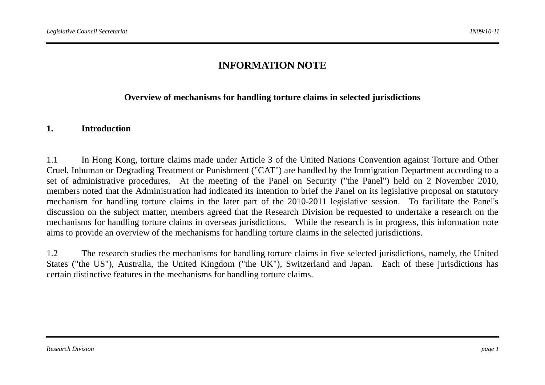## **INFORMATION NOTE**

#### **Overview of mechanisms for handling torture claims in selected jurisdictions**

#### **1. Introduction**

1.1 In Hong Kong, torture claims made under Article 3 of the United Nations Convention against Torture and Other Cruel, Inhuman or Degrading Treatment or Punishment ("CAT") are handled by the Immigration Department according to a set of administrative procedures. At the meeting of the Panel on Security ("the Panel") held on 2 November 2010, members noted that the Administration had indicated its intention to brief the Panel on its legislative proposal on statutory mechanism for handling torture claims in the later part of the 2010-2011 legislative session. To facilitate the Panel's discussion on the subject matter, members agreed that the Research Division be requested to undertake a research on the mechanisms for handling torture claims in overseas jurisdictions. While the research is in progress, this information note aims to provide an overview of the mechanisms for handling torture claims in the selected jurisdictions.

1.2 The research studies the mechanisms for handling torture claims in five selected jurisdictions, namely, the United States ("the US"), Australia, the United Kingdom ("the UK"), Switzerland and Japan. Each of these jurisdictions has certain distinctive features in the mechanisms for handling torture claims.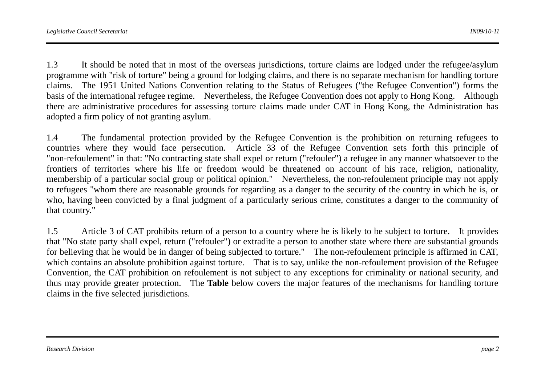1.3 It should be noted that in most of the overseas jurisdictions, torture claims are lodged under the refugee/asylum programme with "risk of torture" being a ground for lodging claims, and there is no separate mechanism for handling torture claims. The 1951 United Nations Convention relating to the Status of Refugees ("the Refugee Convention") forms the basis of the international refugee regime. Nevertheless, the Refugee Convention does not apply to Hong Kong. Although there are administrative procedures for assessing torture claims made under CAT in Hong Kong, the Administration has adopted a firm policy of not granting asylum.

1.4 The fundamental protection provided by the Refugee Convention is the prohibition on returning refugees to countries where they would face persecution. Article 33 of the Refugee Convention sets forth this principle of "non-refoulement" in that: "No contracting state shall expel or return ("refouler") a refugee in any manner whatsoever to the frontiers of territories where his life or freedom would be threatened on account of his race, religion, nationality, membership of a particular social group or political opinion." Nevertheless, the non-refoulement principle may not apply to refugees "whom there are reasonable grounds for regarding as a danger to the security of the country in which he is, or who, having been convicted by a final judgment of a particularly serious crime, constitutes a danger to the community of that country."

1.5 Article 3 of CAT prohibits return of a person to a country where he is likely to be subject to torture. It provides that "No state party shall expel, return ("refouler") or extradite a person to another state where there are substantial grounds for believing that he would be in danger of being subjected to torture." The non-refoulement principle is affirmed in CAT, which contains an absolute prohibition against torture. That is to say, unlike the non-refoulement provision of the Refugee Convention, the CAT prohibition on refoulement is not subject to any exceptions for criminality or national security, and thus may provide greater protection. The **Table** below covers the major features of the mechanisms for handling torture claims in the five selected jurisdictions.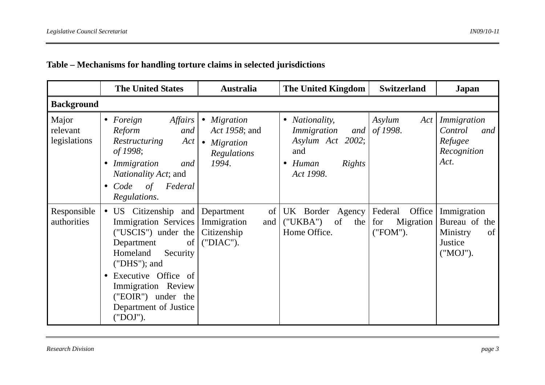|                                   | <b>The United States</b>                                                                                                                                                                                                                                                 | <b>Australia</b>                                                            | The United Kingdom                                                                                                             | <b>Switzerland</b>                                | Japan                                                                 |
|-----------------------------------|--------------------------------------------------------------------------------------------------------------------------------------------------------------------------------------------------------------------------------------------------------------------------|-----------------------------------------------------------------------------|--------------------------------------------------------------------------------------------------------------------------------|---------------------------------------------------|-----------------------------------------------------------------------|
| <b>Background</b>                 |                                                                                                                                                                                                                                                                          |                                                                             |                                                                                                                                |                                                   |                                                                       |
| Major<br>relevant<br>legislations | <i>Affairs</i><br>• Foreign<br>Reform<br>and<br>Restructuring<br>Act<br>of 1998;<br>Immigration<br>and<br><i>Nationality Act</i> ; and<br>Federal<br>Code<br>of<br>$\bullet$<br>Regulations.                                                                             | $\bullet$ Migration<br>Act 1958; and<br>• Migration<br>Regulations<br>1994. | <i>Nationality,</i><br>$\bullet$<br>Immigration<br>and<br>Asylum Act 2002;<br>and<br>Rights<br>Human<br>$\bullet$<br>Act 1998. | Asylum<br>Act<br>of 1998.                         | Immigration<br>Control<br>and<br>Refugee<br>Recognition<br>Act.       |
| Responsible<br>authorities        | • US Citizenship and Department<br><b>Immigration Services</b><br>("USCIS") under the<br>Department<br>of<br>Homeland<br>Security<br>$("DHS");$ and<br>Executive Office of<br>$\bullet$<br>Immigration Review<br>("EOIR") under the<br>Department of Justice<br>("DOJ"). | of<br>Immigration<br>and<br>Citizenship<br>("DIAC").                        | UK Border Agency<br>("UKBA")<br>of<br>the<br>Home Office.                                                                      | Federal<br>Office<br>Migration<br>for<br>("FOM"). | Immigration<br>Bureau of the<br>of<br>Ministry<br>Justice<br>("MOJ"). |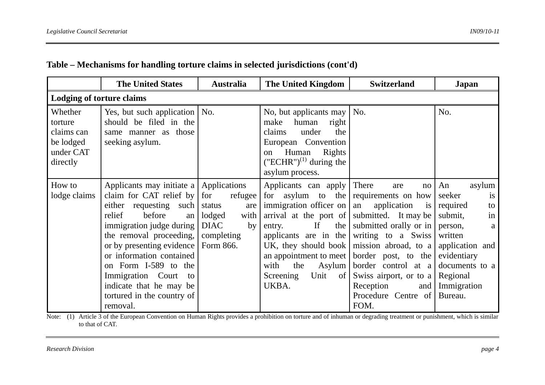|                                                                        | <b>The United States</b>                                                                                                                                                                                                                                                                                                                                        | <b>Australia</b>                                                                                     | The United Kingdom                                                                                                                                                                                                                                                | <b>Switzerland</b>                                                                                                                                                                                                                                                                                     | Japan                                                                                                                                                                                       |
|------------------------------------------------------------------------|-----------------------------------------------------------------------------------------------------------------------------------------------------------------------------------------------------------------------------------------------------------------------------------------------------------------------------------------------------------------|------------------------------------------------------------------------------------------------------|-------------------------------------------------------------------------------------------------------------------------------------------------------------------------------------------------------------------------------------------------------------------|--------------------------------------------------------------------------------------------------------------------------------------------------------------------------------------------------------------------------------------------------------------------------------------------------------|---------------------------------------------------------------------------------------------------------------------------------------------------------------------------------------------|
| <b>Lodging of torture claims</b>                                       |                                                                                                                                                                                                                                                                                                                                                                 |                                                                                                      |                                                                                                                                                                                                                                                                   |                                                                                                                                                                                                                                                                                                        |                                                                                                                                                                                             |
| Whether<br>torture<br>claims can<br>be lodged<br>under CAT<br>directly | Yes, but such application   No.<br>should be filed in the<br>same manner as those<br>seeking asylum.                                                                                                                                                                                                                                                            |                                                                                                      | No, but applicants may $\vert$ No.<br>make<br>human<br>right<br>claims<br>under<br>the<br>European Convention<br>Human<br>Rights<br>$\alpha$<br>$(TECHR'')^{(1)}$ during the<br>asylum process.                                                                   |                                                                                                                                                                                                                                                                                                        | No.                                                                                                                                                                                         |
| How to<br>lodge claims                                                 | Applicants may initiate a<br>claim for CAT relief by<br>requesting such<br>either<br>before<br>relief<br>an<br>immigration judge during<br>the removal proceeding,<br>or by presenting evidence   Form 866.<br>or information contained<br>on Form I-589 to the<br>Immigration Court<br>to<br>indicate that he may be<br>tortured in the country of<br>removal. | Applications<br>for<br>refugee<br>are<br>status<br>lodged<br>with<br><b>DIAC</b><br>by<br>completing | Applicants can apply<br>for asylum to the<br>immigration officer on<br>arrival at the port of<br>If<br>the<br>entry.<br>applicants are in the<br>UK, they should book $\vert$<br>an appointment to meet<br>with<br>the<br>Asylum<br>Unit of<br>Screening<br>UKBA. | There<br>are<br>no<br>requirements on how<br>application<br>an<br><i>is</i><br>submitted. It may be<br>submitted orally or in<br>writing to a Swiss<br>mission abroad, to a<br>border post, to the<br>border control at a<br>Swiss airport, or to a<br>Reception<br>and<br>Procedure Centre of<br>FOM. | An<br>asylum<br>seeker<br><i>is</i><br>required<br>to<br>in<br>submit,<br>person,<br>a<br>written<br>application and<br>evidentiary<br>documents to a<br>Regional<br>Immigration<br>Bureau. |

Note: (1) Article 3 of the European Convention on Human Rights provides a prohibition on torture and of inhuman or degrading treatment or punishment, which is similar to that of CAT.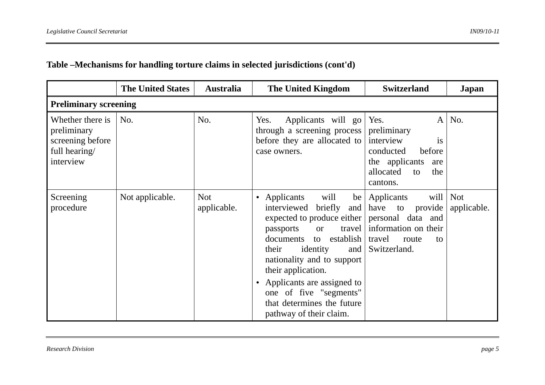|                                                                                   | <b>The United States</b> | <b>Australia</b>          | <b>The United Kingdom</b>                                                                                                                                                                                                                                                                                                                                          | <b>Switzerland</b>                                                                                                                   | Japan                     |  |  |  |  |
|-----------------------------------------------------------------------------------|--------------------------|---------------------------|--------------------------------------------------------------------------------------------------------------------------------------------------------------------------------------------------------------------------------------------------------------------------------------------------------------------------------------------------------------------|--------------------------------------------------------------------------------------------------------------------------------------|---------------------------|--|--|--|--|
| <b>Preliminary screening</b>                                                      |                          |                           |                                                                                                                                                                                                                                                                                                                                                                    |                                                                                                                                      |                           |  |  |  |  |
| Whether there is<br>preliminary<br>screening before<br>full hearing/<br>interview | No.                      | No.                       | Yes.<br>Applicants will go Yes.<br>through a screening process<br>before they are allocated to<br>case owners.                                                                                                                                                                                                                                                     | $\mathbf{A}$<br>preliminary<br>interview<br>is<br>before<br>conducted<br>the applicants<br>are<br>allocated<br>the<br>to<br>cantons. | No.                       |  |  |  |  |
| Screening<br>procedure                                                            | Not applicable.          | <b>Not</b><br>applicable. | Applicants<br>will<br>$\bullet$<br>briefly<br>interviewed<br>expected to produce either<br>travel  <br>passports<br><b>or</b><br>establish  <br>documents<br>to<br>their<br>identity<br>and  <br>nationality and to support<br>their application.<br>Applicants are assigned to<br>one of five "segments"<br>that determines the future<br>pathway of their claim. | be   Applicants<br>provide<br>and $have$ to<br>personal data and<br>information on their<br>travel<br>route<br>to<br>Switzerland.    | will   Not<br>applicable. |  |  |  |  |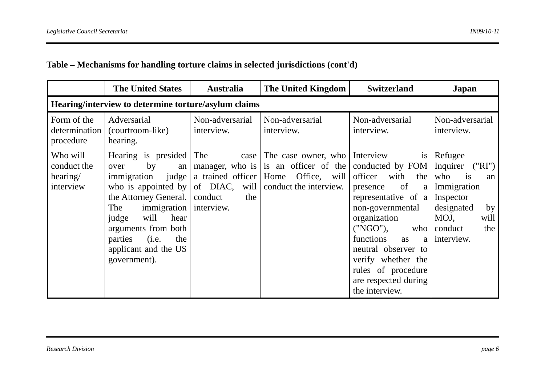|                                                  | <b>The United States</b>                                                                                                                                                                                                                                                        | <b>Australia</b>                                                                          | The United Kingdom                                                                            | <b>Switzerland</b>                                                                                                                                                                                                                                                                                      | Japan                                                                                                                                             |
|--------------------------------------------------|---------------------------------------------------------------------------------------------------------------------------------------------------------------------------------------------------------------------------------------------------------------------------------|-------------------------------------------------------------------------------------------|-----------------------------------------------------------------------------------------------|---------------------------------------------------------------------------------------------------------------------------------------------------------------------------------------------------------------------------------------------------------------------------------------------------------|---------------------------------------------------------------------------------------------------------------------------------------------------|
|                                                  | Hearing/interview to determine torture/asylum claims                                                                                                                                                                                                                            |                                                                                           |                                                                                               |                                                                                                                                                                                                                                                                                                         |                                                                                                                                                   |
| Form of the<br>determination<br>procedure        | Adversarial<br>(courtroom-like)<br>hearing.                                                                                                                                                                                                                                     | Non-adversarial<br>interview.                                                             | Non-adversarial<br>interview.                                                                 | Non-adversarial<br>interview.                                                                                                                                                                                                                                                                           | Non-adversarial<br>interview.                                                                                                                     |
| Who will<br>conduct the<br>hearing/<br>interview | Hearing is presided<br>by<br>over<br>an<br>judge  <br>immigration<br>who is appointed by $\vert$<br>the Attorney General.<br>immigration   interview.<br>The<br>will<br>hear<br>judge<br>arguments from both<br>(i.e.<br>parties<br>the<br>applicant and the US<br>government). | The<br>case<br>manager, who is<br>a trained officer<br>of $DIAC$ , will<br>conduct<br>the | The case owner, who<br>is an officer of the<br>Office, will<br>Home<br>conduct the interview. | Interview<br>is<br>conducted by FOM<br>with<br>the<br>officer<br>of<br>presence<br>a<br>representative of a<br>non-governmental<br>organization<br>("NGO"),<br>who<br>functions<br>as<br>a<br>neutral observer to<br>verify whether the<br>rules of procedure<br>are respected during<br>the interview. | Refugee<br>Inquirer<br>(''RI")<br>is<br>who<br>an<br>Immigration<br>Inspector<br>designated<br>by<br>will<br>MOJ,<br>conduct<br>the<br>interview. |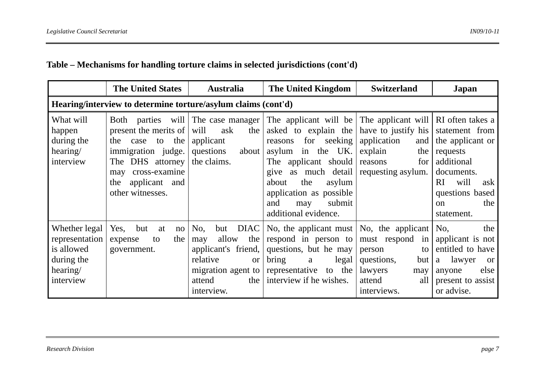|  |  | Table – Mechanisms for handling torture claims in selected jurisdictions (cont'd) |  |  |  |  |
|--|--|-----------------------------------------------------------------------------------|--|--|--|--|
|--|--|-----------------------------------------------------------------------------------|--|--|--|--|

|                                                                                      | <b>The United States</b>                                                                                                                         | <b>Australia</b>                                                                                                   | The United Kingdom                                                                                                                                                                                                                                                                                                         | <b>Switzerland</b>                                                                                                 | Japan                                                                                                                              |  |  |  |  |  |
|--------------------------------------------------------------------------------------|--------------------------------------------------------------------------------------------------------------------------------------------------|--------------------------------------------------------------------------------------------------------------------|----------------------------------------------------------------------------------------------------------------------------------------------------------------------------------------------------------------------------------------------------------------------------------------------------------------------------|--------------------------------------------------------------------------------------------------------------------|------------------------------------------------------------------------------------------------------------------------------------|--|--|--|--|--|
|                                                                                      | Hearing/interview to determine torture/asylum claims (cont'd)                                                                                    |                                                                                                                    |                                                                                                                                                                                                                                                                                                                            |                                                                                                                    |                                                                                                                                    |  |  |  |  |  |
| What will<br>happen<br>during the<br>hearing/<br>interview                           | present the merits of<br>the case to the<br>immigration judge.<br>The DHS attorney<br>may cross-examine<br>the applicant and<br>other witnesses. | the<br>will<br>ask<br>applicant<br>questions<br>about  <br>the claims.                                             | Both parties will The case manager The applicant will be The applicant will RI often takes a<br>asked to explain the<br>for seeking<br>reasons<br>in the UK.<br>asylum<br>The applicant should<br>give as much detail<br>the<br>asylum<br>about<br>application as possible<br>submit<br>and<br>may<br>additional evidence. | have to justify his statement from<br>application<br>and<br>explain<br>the<br>for<br>reasons<br>requesting asylum. | the applicant or<br>requests<br>additional<br>documents.<br>will<br><b>RI</b><br>ask<br>questions based<br>the<br>on<br>statement. |  |  |  |  |  |
| Whether legal<br>representation<br>is allowed<br>during the<br>hearing/<br>interview | Yes, but<br>at<br>no<br>the<br>expense<br>to<br>government.                                                                                      | but DIAC<br>No,<br>allow<br>the<br>may<br>applicant's friend,<br>relative<br><sub>or</sub><br>attend<br>interview. | No, the applicant must $\vert$ No, the applicant $\vert$<br>respond in person to<br>questions, but he may<br>bring<br>$\text{legal}$<br>a<br>migration agent to representative to the<br>the interview if he wishes.                                                                                                       | must respond in<br>person<br>to<br>questions,<br>but<br>lawyers<br>may<br>attend<br>all<br>interviews.             | No.<br>the<br>applicant is not<br>entitled to have<br>a lawyer<br><b>or</b><br>else<br>anyone<br>present to assist<br>or advise.   |  |  |  |  |  |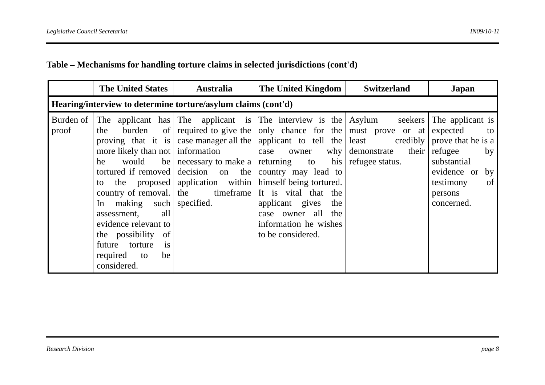|                                                               | <b>The United States</b>                                                                                                                                                                             | <b>Australia</b>                                 | The United Kingdom                                                                                                                                                                                                                                                                                                                                                                                                                                                                                                                                     | <b>Switzerland</b>                                                   | Japan                                                                                                                                                                          |  |  |
|---------------------------------------------------------------|------------------------------------------------------------------------------------------------------------------------------------------------------------------------------------------------------|--------------------------------------------------|--------------------------------------------------------------------------------------------------------------------------------------------------------------------------------------------------------------------------------------------------------------------------------------------------------------------------------------------------------------------------------------------------------------------------------------------------------------------------------------------------------------------------------------------------------|----------------------------------------------------------------------|--------------------------------------------------------------------------------------------------------------------------------------------------------------------------------|--|--|
| Hearing/interview to determine torture/asylum claims (cont'd) |                                                                                                                                                                                                      |                                                  |                                                                                                                                                                                                                                                                                                                                                                                                                                                                                                                                                        |                                                                      |                                                                                                                                                                                |  |  |
| Burden of<br>proof                                            | burden<br>the<br>would<br>he<br>to<br>In making such<br>all<br>assessment,<br>evidence relevant to<br>the possibility<br>of<br>future torture<br>$\overline{1}S$<br>required to<br>be<br>considered. | more likely than not   information<br>specified. | The applicant has The applicant is The interview is the Asylum<br>of required to give the only chance for the must prove or at<br>proving that it is case manager all the applicant to tell the least<br>case owner<br>be   necessary to make a   returning to his  <br>tortured if removed decision on the country may lead to<br>the proposed   application within   himself being tortured.<br>country of removal. the timeframe It is vital that the<br>applicant gives<br>the<br>case owner all the<br>information he wishes<br>to be considered. | seekers<br>credibly<br>their  <br>why demonstrate<br>refugee status. | The applicant is<br>expected<br>to  <br>prove that he is a<br>refugee<br>by<br>substantial<br>evidence or<br>by <sub>l</sub><br>testimony<br>$\sigma$<br>persons<br>concerned. |  |  |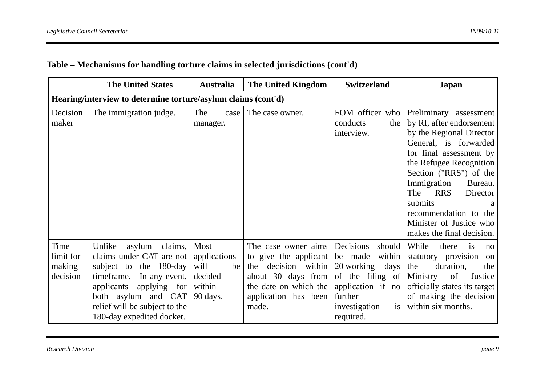|                                         | <b>The United States</b>                                                                                                                                                                                                            | <b>Australia</b>                                                    | <b>The United Kingdom</b>                                                                                                                              | <b>Switzerland</b>                                                                                                                                  | Japan                                                                                                                                                                                                                                                                                                                                               |
|-----------------------------------------|-------------------------------------------------------------------------------------------------------------------------------------------------------------------------------------------------------------------------------------|---------------------------------------------------------------------|--------------------------------------------------------------------------------------------------------------------------------------------------------|-----------------------------------------------------------------------------------------------------------------------------------------------------|-----------------------------------------------------------------------------------------------------------------------------------------------------------------------------------------------------------------------------------------------------------------------------------------------------------------------------------------------------|
|                                         | Hearing/interview to determine torture/asylum claims (cont'd)                                                                                                                                                                       |                                                                     |                                                                                                                                                        |                                                                                                                                                     |                                                                                                                                                                                                                                                                                                                                                     |
| Decision<br>maker                       | The immigration judge.                                                                                                                                                                                                              | The<br>case<br>manager.                                             | The case owner.                                                                                                                                        | FOM officer who<br>conducts<br>the<br>interview.                                                                                                    | Preliminary assessment<br>by RI, after endorsement<br>by the Regional Director<br>General, is forwarded<br>for final assessment by<br>the Refugee Recognition<br>Section ("RRS") of the<br>Immigration<br>Bureau.<br>The<br><b>RRS</b><br>Director<br>submits<br>a<br>recommendation to the<br>Minister of Justice who<br>makes the final decision. |
| Time<br>limit for<br>making<br>decision | Unlike<br>asylum<br>claims,<br>claims under CAT are not<br>subject to the 180-day<br>In any event,<br>timeframe.<br>applicants<br>applying for<br>both asylum and CAT<br>relief will be subject to the<br>180-day expedited docket. | Most<br>applications<br>will<br>be<br>decided<br>within<br>90 days. | The case owner aims<br>to give the applicant<br>decision within<br>the<br>about 30 days from<br>the date on which the<br>application has been<br>made. | Decisions<br>should<br>be made<br>within<br>20 working days<br>of the filing of<br>application if no<br>further<br>is<br>investigation<br>required. | While<br>there<br>is<br>no<br>statutory provision<br>on<br>the<br>duration,<br>the<br>Ministry<br>of<br>Justice<br>officially states its target<br>of making the decision<br>within six months.                                                                                                                                                     |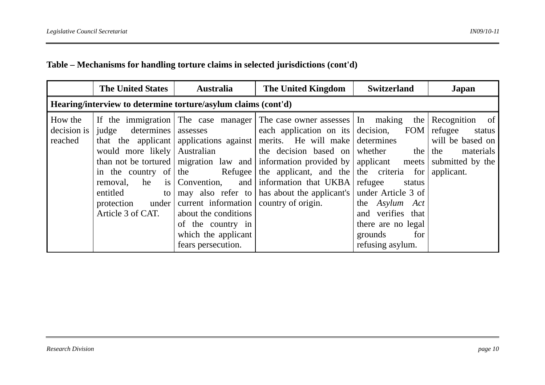|                                                               | <b>The United States</b><br><b>Australia</b>                                                    |                                                                                                                                        | The United Kingdom                                                                                                                                                                                                                                                                                                                                                                                                                                                                                                                                         | <b>Switzerland</b>                                                                                                                                  | Japan                                                                                                  |
|---------------------------------------------------------------|-------------------------------------------------------------------------------------------------|----------------------------------------------------------------------------------------------------------------------------------------|------------------------------------------------------------------------------------------------------------------------------------------------------------------------------------------------------------------------------------------------------------------------------------------------------------------------------------------------------------------------------------------------------------------------------------------------------------------------------------------------------------------------------------------------------------|-----------------------------------------------------------------------------------------------------------------------------------------------------|--------------------------------------------------------------------------------------------------------|
| Hearing/interview to determine torture/asylum claims (cont'd) |                                                                                                 |                                                                                                                                        |                                                                                                                                                                                                                                                                                                                                                                                                                                                                                                                                                            |                                                                                                                                                     |                                                                                                        |
| How the<br>decision is<br>reached                             | judge determines<br>removal, he<br>entitled<br>$\mathsf{to}$<br>protection<br>Article 3 of CAT. | under current information country of origin.<br>about the conditions<br>of the country in<br>which the applicant<br>fears persecution. | If the immigration The case manager The case owner assesses In making<br>assesses all each application on its decision, FOM<br>that the applicant applications against merits. He will make determines<br>would more likely Australian the decision based on whether the the<br>than not be tortured   migration law and   information provided by   applicant meets  <br>in the country of the Refugee the applicant, and the the criteria for<br>is $\vert$ Convention, and $\vert$ information that UKBA<br>may also refer to has about the applicant's | the  <br>refugee<br>status<br>under Article 3 of<br>the Asylum Act<br>and verifies that<br>there are no legal<br>for<br>grounds<br>refusing asylum. | Recognition of<br>refugee<br>status<br>will be based on<br>materials<br>submitted by the<br>applicant. |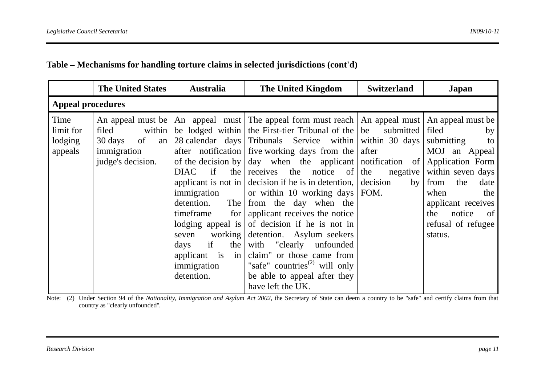|                                         | <b>The United States</b>                                                   | <b>Australia</b>                                                                                                                                       | The United Kingdom                                                                                                                                                                                                                                                                                                                                                                                                                                                                                                                                                                                                                                                                                                                                                                                                                                         | <b>Switzerland</b>          | Japan                                                                                                                                                                                                         |
|-----------------------------------------|----------------------------------------------------------------------------|--------------------------------------------------------------------------------------------------------------------------------------------------------|------------------------------------------------------------------------------------------------------------------------------------------------------------------------------------------------------------------------------------------------------------------------------------------------------------------------------------------------------------------------------------------------------------------------------------------------------------------------------------------------------------------------------------------------------------------------------------------------------------------------------------------------------------------------------------------------------------------------------------------------------------------------------------------------------------------------------------------------------------|-----------------------------|---------------------------------------------------------------------------------------------------------------------------------------------------------------------------------------------------------------|
| <b>Appeal procedures</b>                |                                                                            |                                                                                                                                                        |                                                                                                                                                                                                                                                                                                                                                                                                                                                                                                                                                                                                                                                                                                                                                                                                                                                            |                             |                                                                                                                                                                                                               |
| Time<br>limit for<br>lodging<br>appeals | filed<br>within<br>of<br>30 days<br>an<br>immigration<br>judge's decision. | <b>DIAC</b><br>if<br>immigration<br>detention.<br>timeframe<br>for <sub>l</sub><br>seven<br>if<br>days<br>applicant is in<br>immigration<br>detention. | An appeal must be   An appeal must   The appeal form must reach   An appeal must   An appeal must be  <br>be lodged within the First-tier Tribunal of the $\vert$ be<br>28 calendar days Tribunals Service within within 30 days<br>after notification five working days from the after<br>of the decision by $\vert$ day when the applicant notification of<br>the $ $ receives the notice of $ $ the<br>applicant is not in $\vert$ decision if he is in detention, $\vert$ decision<br>or within 10 working days   FOM.<br>The from the day when the<br>applicant receives the notice<br>lodging appeal is of decision if he is not in<br>working detention. Asylum seekers<br>the with "clearly unfounded"<br>claim" or those came from<br>"safe" countries <sup><math>(2)</math></sup> will only<br>be able to appeal after they<br>have left the UK. | submitted<br>negative<br>by | filed<br>by<br>submitting<br>to<br>MOJ an Appeal<br>Application Form<br>within seven days<br>from<br>the<br>date<br>when<br>the<br>applicant receives<br>the<br>notice<br>of<br>refusal of refugee<br>status. |

Note: (2) Under Section 94 of the *Nationality, Immigration and Asylum Act 2002*, the Secretary of State can deem a country to be "safe" and certify claims from that country as "clearly unfounded''.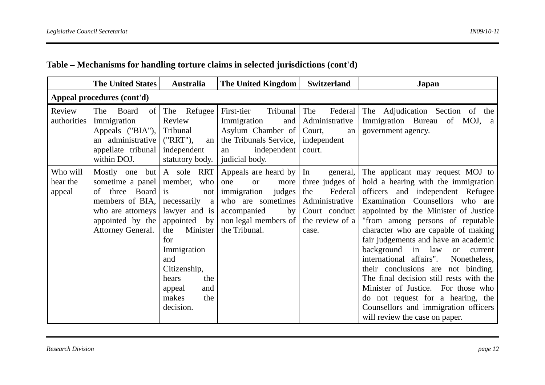|                                | <b>The United States</b>                                                                                                                                 | <b>Australia</b>                                                                                                                                                                                            | <b>The United Kingdom</b>                                                                                                                                                   | <b>Switzerland</b>                                                                                           | <b>Japan</b>                                                                                                                                                                                                                                                                                                                                                                                                                                                                                                                                                                                                                                |
|--------------------------------|----------------------------------------------------------------------------------------------------------------------------------------------------------|-------------------------------------------------------------------------------------------------------------------------------------------------------------------------------------------------------------|-----------------------------------------------------------------------------------------------------------------------------------------------------------------------------|--------------------------------------------------------------------------------------------------------------|---------------------------------------------------------------------------------------------------------------------------------------------------------------------------------------------------------------------------------------------------------------------------------------------------------------------------------------------------------------------------------------------------------------------------------------------------------------------------------------------------------------------------------------------------------------------------------------------------------------------------------------------|
|                                | Appeal procedures (cont'd)                                                                                                                               |                                                                                                                                                                                                             |                                                                                                                                                                             |                                                                                                              |                                                                                                                                                                                                                                                                                                                                                                                                                                                                                                                                                                                                                                             |
| Review<br>authorities          | The<br>Board<br><sub>of</sub><br>Immigration<br>Appeals ("BIA"),<br>an administrative<br>appellate tribunal<br>within DOJ.                               | The Refugee<br>Review<br>Tribunal<br>("RRT"),<br>an<br>independent<br>statutory body.                                                                                                                       | First-tier<br>Tribunal<br>Immigration<br>and<br>Asylum Chamber of<br>the Tribunals Service,<br>independent<br>an<br>judicial body.                                          | The<br>Administrative<br>Court,<br>an<br>independent<br>court.                                               | Federal The Adjudication Section of<br>the<br>Immigration Bureau of MOJ, a<br>government agency.                                                                                                                                                                                                                                                                                                                                                                                                                                                                                                                                            |
| Who will<br>hear the<br>appeal | Mostly one but $A$ sole RRT<br>sometime a panel<br>three<br>Board<br>of<br>members of BIA,<br>who are attorneys<br>appointed by the<br>Attorney General. | member,<br>who<br>is<br>not<br>necessarily a<br>lawyer and is<br>appointed by<br>Minister<br>the<br>for<br>Immigration<br>and<br>Citizenship,<br>hears<br>the<br>appeal<br>and<br>makes<br>the<br>decision. | Appeals are heard by $\vert$ In<br>one<br>more<br><sub>or</sub><br>judges<br>immigration<br>who are sometimes<br>accompanied<br>by<br>non legal members of<br>the Tribunal. | general,<br>three judges of<br>Federal<br>the<br>Administrative<br>Court conduct<br>the review of a<br>case. | The applicant may request MOJ to<br>hold a hearing with the immigration<br>officers and independent Refugee<br>Examination Counsellors who are<br>appointed by the Minister of Justice<br>"from among persons of reputable<br>character who are capable of making<br>fair judgements and have an academic<br>background in law<br>current<br><sub>or</sub><br>international affairs".<br>Nonetheless,<br>their conclusions are not binding.<br>The final decision still rests with the<br>Minister of Justice. For those who<br>do not request for a hearing, the<br>Counsellors and immigration officers<br>will review the case on paper. |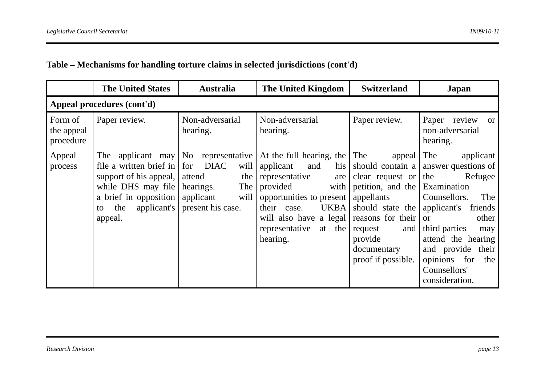|                                    | <b>The United States</b>                                                                                                                                     | <b>Australia</b>                                                                                                                 | The United Kingdom                                                                                                                                                                                                              | <b>Switzerland</b>                                                                                                                                                                                  | Japan                                                                                                                                                                                                                                                                          |
|------------------------------------|--------------------------------------------------------------------------------------------------------------------------------------------------------------|----------------------------------------------------------------------------------------------------------------------------------|---------------------------------------------------------------------------------------------------------------------------------------------------------------------------------------------------------------------------------|-----------------------------------------------------------------------------------------------------------------------------------------------------------------------------------------------------|--------------------------------------------------------------------------------------------------------------------------------------------------------------------------------------------------------------------------------------------------------------------------------|
|                                    | Appeal procedures (cont'd)                                                                                                                                   |                                                                                                                                  |                                                                                                                                                                                                                                 |                                                                                                                                                                                                     |                                                                                                                                                                                                                                                                                |
| Form of<br>the appeal<br>procedure | Paper review.                                                                                                                                                | Non-adversarial<br>hearing.                                                                                                      | Non-adversarial<br>hearing.                                                                                                                                                                                                     | Paper review.                                                                                                                                                                                       | Paper review<br><b>or</b><br>non-adversarial<br>hearing.                                                                                                                                                                                                                       |
| Appeal<br>process                  | The applicant may<br>file a written brief in<br>support of his appeal,<br>while DHS may file<br>a brief in opposition<br>applicant's<br>the<br>to<br>appeal. | No representative<br><b>DIAC</b><br>will<br>  for<br>the<br>attend<br>The<br>hearings.<br>will<br>applicant<br>present his case. | At the full hearing, the<br>applicant<br>and<br>his<br>representative<br>are<br>provided<br>with<br>opportunities to present<br><b>UKBA</b><br>their<br>case.<br>will also have a legal<br>representative<br>at the<br>hearing. | The<br>appeal<br>should contain a<br>clear request or<br>petition, and the<br>appellants<br>should state the<br>reasons for their<br>and<br>request<br>provide<br>documentary<br>proof if possible. | applicant<br>The<br>answer questions of<br>Refugee<br>the<br>Examination<br>The<br>Counsellors.<br>applicant's<br>friends<br>other<br><b>or</b><br>third parties<br>may<br>attend the hearing<br>and provide their<br>for<br>opinions<br>the<br>Counsellors'<br>consideration. |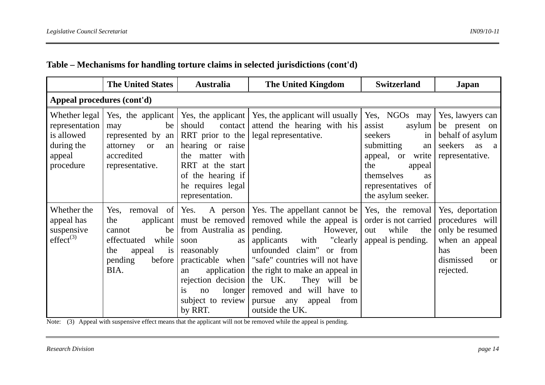|                                                                                    | <b>The United States</b>                                                                                                                | <b>Australia</b>                                                                                                                                                                                                         | <b>The United Kingdom</b>                                                                                                                                                                                                                                                                                                                            | <b>Switzerland</b>                                                                                                                                                          | Japan                                                                                                                              |  |  |
|------------------------------------------------------------------------------------|-----------------------------------------------------------------------------------------------------------------------------------------|--------------------------------------------------------------------------------------------------------------------------------------------------------------------------------------------------------------------------|------------------------------------------------------------------------------------------------------------------------------------------------------------------------------------------------------------------------------------------------------------------------------------------------------------------------------------------------------|-----------------------------------------------------------------------------------------------------------------------------------------------------------------------------|------------------------------------------------------------------------------------------------------------------------------------|--|--|
| Appeal procedures (cont'd)                                                         |                                                                                                                                         |                                                                                                                                                                                                                          |                                                                                                                                                                                                                                                                                                                                                      |                                                                                                                                                                             |                                                                                                                                    |  |  |
| Whether legal<br>representation<br>is allowed<br>during the<br>appeal<br>procedure | Yes, the applicant Yes, the applicant<br>be<br>may<br>represented by an<br>attorney<br><b>or</b><br>an<br>accredited<br>representative. | should<br>contact<br>RRT prior to the<br>hearing or raise<br>the matter with<br>RRT at the start<br>of the hearing if<br>he requires legal<br>representation.                                                            | Yes, the applicant will usually<br>attend the hearing with his<br>legal representative.                                                                                                                                                                                                                                                              | Yes, NGOs may<br>asylum<br>assist<br>seekers<br>in<br>submitting<br>an<br>appeal, or write<br>the<br>appeal<br>themselves<br>as<br>representatives of<br>the asylum seeker. | Yes, lawyers can<br>be present on<br>behalf of asylum<br>seekers<br>as a<br>representative.                                        |  |  |
| Whether the<br>appeal has<br>suspensive<br>$effect^{(3)}$                          | the<br>applicant $\vert$<br>be<br>cannot<br>effectuated<br>while<br>the<br>appeal<br>$\overline{1}S$<br>pending<br>before<br>BIA.       | Yes, removal of Yes. A person<br>must be removed<br>from Australia as<br>soon<br>as<br>reasonably<br>practicable when<br>application  <br>an<br>rejection decision<br>is<br>longer<br>no<br>subject to review<br>by RRT. | Yes. The appellant cannot be   Yes, the removal  <br>removed while the appeal is<br>pending.<br>However,<br>applicants<br>"clearly<br>with<br>unfounded claim" or from<br>"safe" countries will not have<br>the right to make an appeal in<br>the UK.<br>They will be<br>removed and will have to<br>appeal<br>from<br>pursue any<br>outside the UK. | order is not carried<br>while<br>the<br>out<br>appeal is pending.                                                                                                           | Yes, deportation<br>procedures will<br>only be resumed<br>when an appeal<br>been<br>has<br>dismissed<br><sub>or</sub><br>rejected. |  |  |

Note: (3) Appeal with suspensive effect means that the applicant will not be removed while the appeal is pending.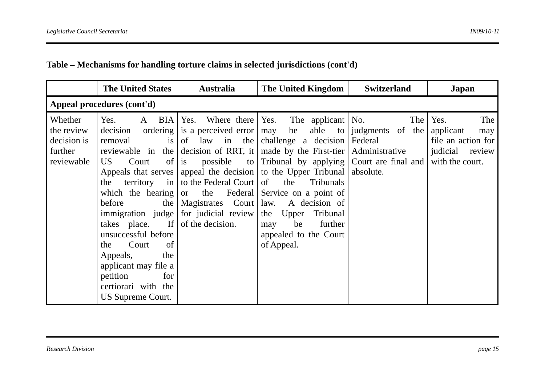|                                                               | <b>The United States</b>                                                                                                                                                                                                                                                                                            | <b>Australia</b>                                                                                                                                                                                                                                | The United Kingdom                                                                                                                                                                                                                                                                                                                                                                                                                            | <b>Switzerland</b>                                                | Japan                                                                                         |  |  |
|---------------------------------------------------------------|---------------------------------------------------------------------------------------------------------------------------------------------------------------------------------------------------------------------------------------------------------------------------------------------------------------------|-------------------------------------------------------------------------------------------------------------------------------------------------------------------------------------------------------------------------------------------------|-----------------------------------------------------------------------------------------------------------------------------------------------------------------------------------------------------------------------------------------------------------------------------------------------------------------------------------------------------------------------------------------------------------------------------------------------|-------------------------------------------------------------------|-----------------------------------------------------------------------------------------------|--|--|
| Appeal procedures (cont'd)                                    |                                                                                                                                                                                                                                                                                                                     |                                                                                                                                                                                                                                                 |                                                                                                                                                                                                                                                                                                                                                                                                                                               |                                                                   |                                                                                               |  |  |
| Whether<br>the review<br>decision is<br>further<br>reviewable | Yes.<br><b>BIA</b><br>A<br>decision<br>removal<br>$\overline{1}S$<br>reviewable in the<br>US<br>Court<br>the<br>before<br>takes place.<br>$\vert$ If $\vert$<br>unsuccessful before<br>Court<br>of<br>the<br>the<br>Appeals,<br>applicant may file a<br>petition<br>for<br>certiorari with the<br>US Supreme Court. | Where there Yes.<br>Yes.<br>ordering is a perceived error  <br>of law in the<br>of $\vert$ is<br>territory in $\vert$ to the Federal Court $\vert$ of<br>the   Magistrates Court  <br>immigration judge for judicial review<br>of the decision. | The applicant $\vert$ No.<br>may be able to<br>challenge a decision<br>decision of RRT, it   made by the First-tier  <br>possible to Tribunal by applying Court are final and<br>Appeals that serves appeal the decision to the Upper Tribunal<br>the<br>Tribunals<br>which the hearing or the Federal Service on a point of<br>law.<br>A decision of<br>the Upper<br>Tribunal<br>be<br>further<br>may<br>appealed to the Court<br>of Appeal. | The<br>judgments of the<br>Federal<br>Administrative<br>absolute. | The I<br>Yes.<br>applicant<br>may<br>file an action for<br>judicial review<br>with the court. |  |  |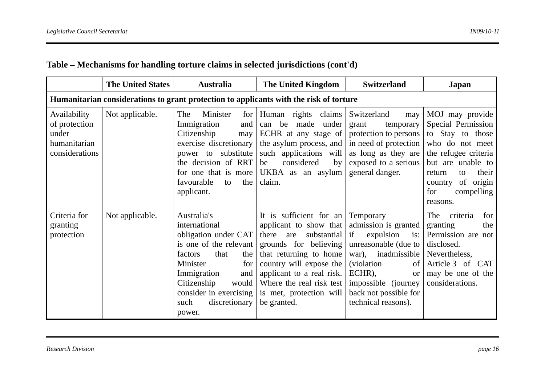|                                                                          | <b>The United States</b>                                                               | <b>Australia</b>                                                                                                                                                                                                                         | The United Kingdom                                                                                                                                                                                                                                                | <b>Switzerland</b>                                                                                                                                                                                                                      | Japan                                                                                                                                                                                                          |  |  |
|--------------------------------------------------------------------------|----------------------------------------------------------------------------------------|------------------------------------------------------------------------------------------------------------------------------------------------------------------------------------------------------------------------------------------|-------------------------------------------------------------------------------------------------------------------------------------------------------------------------------------------------------------------------------------------------------------------|-----------------------------------------------------------------------------------------------------------------------------------------------------------------------------------------------------------------------------------------|----------------------------------------------------------------------------------------------------------------------------------------------------------------------------------------------------------------|--|--|
|                                                                          | Humanitarian considerations to grant protection to applicants with the risk of torture |                                                                                                                                                                                                                                          |                                                                                                                                                                                                                                                                   |                                                                                                                                                                                                                                         |                                                                                                                                                                                                                |  |  |
| Availability<br>of protection<br>under<br>humanitarian<br>considerations | Not applicable.                                                                        | The<br>Minister<br>for $\vert$<br>Immigration<br>and<br>Citizenship<br>may<br>exercise discretionary<br>substitute<br>power to<br>the decision of RRT<br>for one that is more<br>favourable<br>the<br>to<br>applicant.                   | Human rights claims<br>be<br>made<br>under<br>can<br>ECHR at any stage of<br>the asylum process, and<br>such applications will<br>considered<br>be<br>by<br>UKBA as an asylum<br>claim.                                                                           | Switzerland<br>may<br>grant<br>temporary<br>protection to persons<br>in need of protection<br>as long as they are<br>exposed to a serious<br>general danger.                                                                            | MOJ may provide<br>Special Permission<br>to Stay to those<br>who do not meet<br>the refugee criteria<br>but are unable to<br>their<br>return<br>to<br>of<br>origin<br>country<br>for<br>compelling<br>reasons. |  |  |
| Criteria for<br>granting<br>protection                                   | Not applicable.                                                                        | Australia's<br>international<br>obligation under CAT<br>is one of the relevant  <br>that<br>the<br>factors<br>Minister<br>for<br>Immigration<br>and<br>Citizenship<br>would<br>consider in exercising<br>such<br>discretionary<br>power. | It is sufficient for an<br>applicant to show that<br>there<br>substantial<br>are<br>grounds for believing<br>that returning to home<br>country will expose the<br>applicant to a real risk.<br>Where the real risk test<br>is met, protection will<br>be granted. | Temporary<br>admission is granted<br>expulsion<br>if<br>is:<br>unreasonable (due to<br>inadmissible<br>war),<br><i>(violation)</i><br>of<br>ECHR),<br><b>or</b><br>impossible (journey)<br>back not possible for<br>technical reasons). | criteria<br>for<br>The<br>granting<br>the<br>Permission are not<br>disclosed.<br>Nevertheless,<br>Article 3 of CAT<br>may be one of the<br>considerations.                                                     |  |  |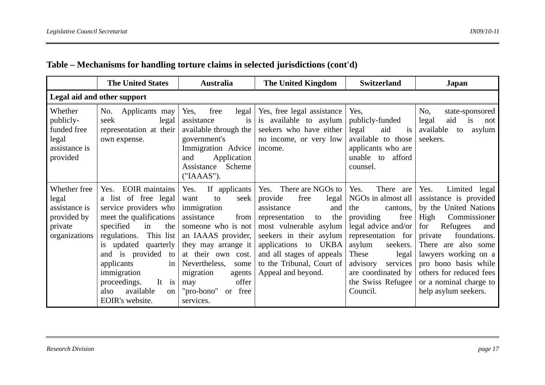|                                                                                   | <b>The United States</b>                                                                                                                                                                                                                                                                                                                  | <b>Australia</b>                                                                                                                                                                                                                                                                | <b>The United Kingdom</b>                                                                                                                                                                                                                                              | <b>Switzerland</b>                                                                                                                                                                                                                                               | Japan                                                                                                                                                                                                                                                                                                     |  |
|-----------------------------------------------------------------------------------|-------------------------------------------------------------------------------------------------------------------------------------------------------------------------------------------------------------------------------------------------------------------------------------------------------------------------------------------|---------------------------------------------------------------------------------------------------------------------------------------------------------------------------------------------------------------------------------------------------------------------------------|------------------------------------------------------------------------------------------------------------------------------------------------------------------------------------------------------------------------------------------------------------------------|------------------------------------------------------------------------------------------------------------------------------------------------------------------------------------------------------------------------------------------------------------------|-----------------------------------------------------------------------------------------------------------------------------------------------------------------------------------------------------------------------------------------------------------------------------------------------------------|--|
| Legal aid and other support                                                       |                                                                                                                                                                                                                                                                                                                                           |                                                                                                                                                                                                                                                                                 |                                                                                                                                                                                                                                                                        |                                                                                                                                                                                                                                                                  |                                                                                                                                                                                                                                                                                                           |  |
| Whether<br>publicly-<br>funded free<br>legal<br>assistance is<br>provided         | Applicants may<br>No.<br>seek<br>legal<br>representation at their<br>own expense.                                                                                                                                                                                                                                                         | free<br>Yes,<br>legal<br>assistance<br><i>is</i><br>available through the<br>government's<br>Immigration Advice<br>Application<br>and<br>Scheme<br>Assistance<br>("IAAAS").                                                                                                     | Yes, free legal assistance<br>is available to asylum<br>seekers who have either<br>no income, or very low<br>income.                                                                                                                                                   | Yes,<br>publicly-funded<br>legal<br>aid<br>is<br>available to those<br>applicants who are<br>unable to<br>afford<br>counsel.                                                                                                                                     | No.<br>state-sponsored<br>aid<br>is<br>legal<br>not<br>available<br>to<br>asylum<br>seekers.                                                                                                                                                                                                              |  |
| Whether free<br>legal<br>assistance is<br>provided by<br>private<br>organizations | <b>EOIR</b> maintains<br>Yes.<br>a list of free legal<br>service providers who<br>meet the qualifications<br>specified<br>the<br>in<br>regulations.<br>This list<br>is updated<br>quarterly<br>and is provided<br>to<br>in<br>applicants<br>immigration<br>It is<br>proceedings.<br>available<br>also<br><sub>on</sub><br>EOIR's website. | If applicants<br>Yes.<br>seek<br>want<br>to<br>immigration<br>assistance<br>from<br>someone who is not<br>an IAAAS provider,<br>they may arrange it<br>at their own cost.<br>Nevertheless,<br>some<br>migration<br>agents<br>offer<br>may<br>"pro-bono"<br>or free<br>services. | Yes. There are NGOs to<br>provide<br>free<br>legal<br>assistance<br>and<br>representation<br>the<br>to<br>most vulnerable asylum<br>seekers in their asylum<br>UKBA<br>applications to<br>and all stages of appeals<br>to the Tribunal, Court of<br>Appeal and beyond. | Yes.<br>There<br>are<br>NGOs in almost all<br>the<br>cantons,<br>providing<br>free<br>legal advice and/or $\vert$<br>representation for<br>asylum<br>seekers.<br>These<br>legal<br>advisory<br>services  <br>are coordinated by<br>the Swiss Refugee<br>Council. | Yes.<br>Limited legal<br>assistance is provided<br>by the United Nations<br>High<br>Commissioner<br>for<br>Refugees<br>and<br>private<br>foundations.<br>There are also some<br>lawyers working on a<br>pro bono basis while<br>others for reduced fees<br>or a nominal charge to<br>help asylum seekers. |  |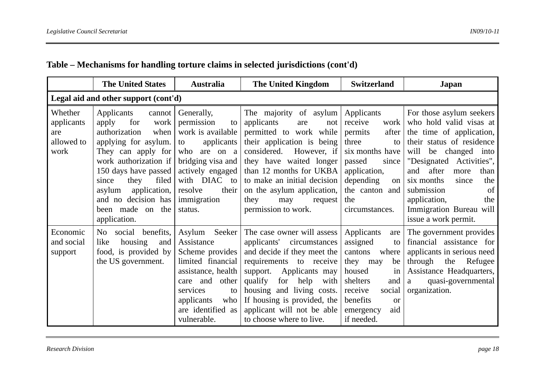|                                                    | <b>The United States</b>                                                                                                                                                                                                                                                            | <b>Australia</b>                                                                                                                                                                               | <b>The United Kingdom</b>                                                                                                                                                                                                                                                                                     | <b>Switzerland</b>                                                                                                                                                                              | Japan                                                                                                                                                                                                                                                                                                                           |  |
|----------------------------------------------------|-------------------------------------------------------------------------------------------------------------------------------------------------------------------------------------------------------------------------------------------------------------------------------------|------------------------------------------------------------------------------------------------------------------------------------------------------------------------------------------------|---------------------------------------------------------------------------------------------------------------------------------------------------------------------------------------------------------------------------------------------------------------------------------------------------------------|-------------------------------------------------------------------------------------------------------------------------------------------------------------------------------------------------|---------------------------------------------------------------------------------------------------------------------------------------------------------------------------------------------------------------------------------------------------------------------------------------------------------------------------------|--|
| Legal aid and other support (cont'd)               |                                                                                                                                                                                                                                                                                     |                                                                                                                                                                                                |                                                                                                                                                                                                                                                                                                               |                                                                                                                                                                                                 |                                                                                                                                                                                                                                                                                                                                 |  |
| Whether<br>applicants<br>are<br>allowed to<br>work | Applicants<br>cannot<br>apply<br>work<br>for<br>authorization<br>when<br>applying for asylum.<br>They can apply for<br>work authorization if<br>150 days have passed<br>filed<br>they<br>since<br>application,<br>asylum<br>and no decision has<br>been made on the<br>application. | Generally,<br>permission<br>to<br>work is available<br>applicants<br>to<br>who are on a<br>bridging visa and<br>actively engaged<br>with DIAC to<br>resolve<br>their<br>immigration<br>status. | The majority of asylum<br>applicants<br>not<br>are<br>permitted to work while<br>their application is being<br>considered.<br>However, if<br>they have waited longer<br>than 12 months for UKBA<br>to make an initial decision<br>on the asylum application,<br>they<br>request<br>may<br>permission to work. | Applicants<br>receive<br>work<br>permits<br>after<br>three<br>to<br>six months have<br>passed<br>since<br>application,<br>depending<br>on<br>the canton and<br>the<br>circumstances.            | For those asylum seekers<br>who hold valid visas at<br>the time of application,<br>their status of residence<br>will<br>be changed into<br>"Designated Activities",<br>after<br>and<br>more<br>than<br>six months<br>the<br>since<br>of<br>submission<br>application,<br>the<br>Immigration Bureau will<br>issue a work permit. |  |
| Economic<br>and social<br>support                  | social benefits,<br>No<br>housing<br>like<br>and<br>food, is provided by<br>the US government.                                                                                                                                                                                      | Asylum Seeker<br>Assistance<br>Scheme provides<br>limited financial<br>assistance, health<br>care and other<br>services<br>to<br>applicants<br>who<br>are identified as<br>vulnerable.         | The case owner will assess<br>applicants' circumstances<br>and decide if they meet the<br>requirements to receive<br>Applicants may<br>support.<br>qualify<br>for<br>help<br>with<br>housing and living costs.<br>If housing is provided, the<br>applicant will not be able<br>to choose where to live.       | Applicants<br>are<br>assigned<br>to<br>cantons<br>where<br>they<br>be<br>may<br>housed<br>in<br>shelters<br>and<br>receive<br>social<br>benefits<br><b>or</b><br>aid<br>emergency<br>if needed. | The government provides<br>financial assistance for<br>applicants in serious need<br>through the<br>Refugee<br>Assistance Headquarters,<br>quasi-governmental<br>a<br>organization.                                                                                                                                             |  |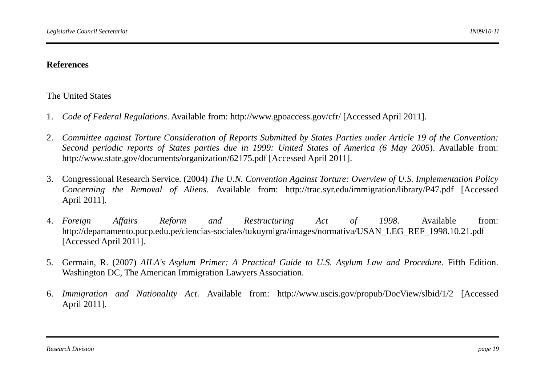#### **References**

#### The United States

- 1. *Code of Federal Regulations*. Available from: http://www.gpoaccess.gov/cfr/ [Accessed April 2011].
- 2. *Committee against Torture Consideration of Reports Submitted by States Parties under Article 19 of the Convention: Second periodic reports of States parties due in 1999: United States of America (6 May 2005*). Available from: http://www.state.gov/documents/organization/62175.pdf [Accessed April 2011].
- 3. Congressional Research Service. (2004) *The U.N. Convention Against Torture: Overview of U.S. Implementation Policy Concerning the Removal of Aliens*. Available from: http://trac.syr.edu/immigration/library/P47.pdf [Accessed April 2011].
- 4. Foreign *Form and Restructuring Act of 1998.* Available from: http://departamento.pucp.edu.pe/ciencias-sociales/tukuymigra/images/normativa/USAN\_LEG\_REF\_1998.10.21.pdf [Accessed April 2011].
- 5. Germain, R. (2007) *AILA's Asylum Primer: A Practical Guide to U.S. Asylum Law and Procedure*. Fifth Edition. Washington DC, The American Immigration Lawyers Association.
- 6. *Immigration and Nationality Act*. Available from: http://www.uscis.gov/propub/DocView/slbid/1/2 [Accessed April 2011].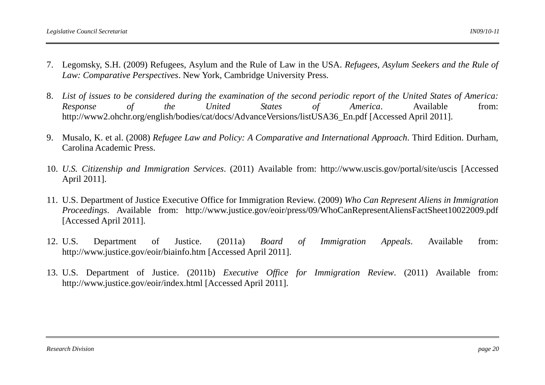- 7. Legomsky, S.H. (2009) Refugees, Asylum and the Rule of Law in the USA. *Refugees, Asylum Seekers and the Rule of Law: Comparative Perspectives*. New York, Cambridge University Press.
- 8. *List of issues to be considered during the examination of the second periodic report of the United States of America: Response of the United States of America*. Available from: http://www2.ohchr.org/english/bodies/cat/docs/AdvanceVersions/listUSA36\_En.pdf [Accessed April 2011].
- 9. Musalo, K. et al. (2008) *Refugee Law and Policy: A Comparative and International Approach*. Third Edition. Durham, Carolina Academic Press.
- 10. *U.S. Citizenship and Immigration Services*. (2011) Available from: http://www.uscis.gov/portal/site/uscis [Accessed April 2011].
- 11. U.S. Department of Justice Executive Office for Immigration Review. (2009) *Who Can Represent Aliens in Immigration Proceedings*. Available from: http://www.justice.gov/eoir/press/09/WhoCanRepresentAliensFactSheet10022009.pdf [Accessed April 2011].
- 12. U.S. U.S. Department of Justice. (2011a) *Board of Immigration Appeals*. Available from: http://www.justice.gov/eoir/biainfo.htm [Accessed April 2011].
- 13. U.S. Department of Justice. (2011b) *Executive Office for Immigration Review*. (2011) Available from: http://www.justice.gov/eoir/index.html [Accessed April 2011].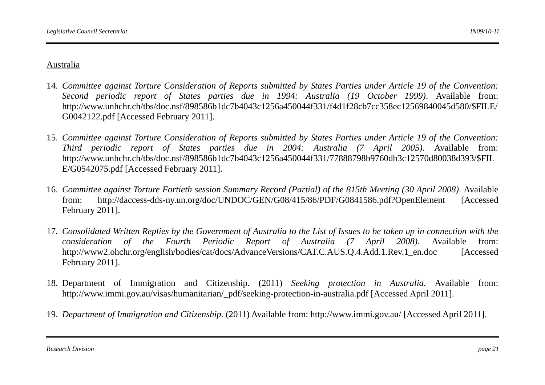#### Australia

- 14. *Committee against Torture Consideration of Reports submitted by States Parties under Article 19 of the Convention: Second periodic report of States parties due in 1994: Australia (19 October 1999)*. Available from: http://www.unhchr.ch/tbs/doc.nsf/898586b1dc7b4043c1256a450044f331/f4d1f28cb7cc358ec12569840045d580/\$FILE/ G0042122.pdf [Accessed February 2011].
- 15. *Committee against Torture Consideration of Reports submitted by States Parties under Article 19 of the Convention: Third periodic report of States parties due in 2004: Australia (7 April 2005)*. Available from: http://www.unhchr.ch/tbs/doc.nsf/898586b1dc7b4043c1256a450044f331/77888798b9760db3c12570d80038d393/\$FIL E/G0542075.pdf [Accessed February 2011].
- 16. *Committee against Torture Fortieth session Summary Record (Partial) of the 815th Meeting (30 April 2008)*. Available from:http://daccess-dds-ny.un.org/doc/UNDOC/GEN/G08/415/86/PDF/G0841586.pdf?OpenElement [Accessed] February 2011].
- 17. *Consolidated Written Replies by the Government of Australia to the List of Issues to be taken up in connection with the consideration of the Fourth Periodic Report of Australia (7 April 2008)*. Available from: http://www2.ohchr.org/english/bodies/cat/docs/AdvanceVersions/CAT.C.AUS.Q.4.Add.1.Rev.1\_en.doc [Accessed February 2011].
- 18. Department of Immigration and Citizenship. (2011) *Seeking protection in Australia*. Available from: http://www.immi.gov.au/visas/humanitarian/\_pdf/seeking-protection-in-australia.pdf [Accessed April 2011].
- 19. *Department of Immigration and Citizenship*. (2011) Available from: http://www.immi.gov.au/ [Accessed April 2011].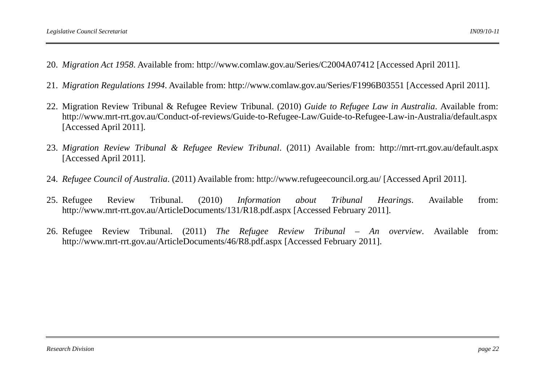- 20. *Migration Act 1958*. Available from: http://www.comlaw.gov.au/Series/C2004A07412 [Accessed April 2011].
- 21. *Migration Regulations 1994*. Available from: http://www.comlaw.gov.au/Series/F1996B03551 [Accessed April 2011].
- 22. Migration Review Tribunal & Refugee Review Tribunal. (2010) *Guide to Refugee Law in Australia*. Available from: http://www.mrt-rrt.gov.au/Conduct-of-reviews/Guide-to-Refugee-Law/Guide-to-Refugee-Law-in-Australia/default.aspx [Accessed April 2011].
- 23. *Migration Review Tribunal & Refugee Review Tribunal*. (2011) Available from: http://mrt-rrt.gov.au/default.aspx [Accessed April 2011].
- 24. *Refugee Council of Australia*. (2011) Available from: http://www.refugeecouncil.org.au/ [Accessed April 2011].
- 25. Refugee Refugee Review Tribunal. (2010) *Information about Tribunal Hearings*. Available from: http://www.mrt-rrt.gov.au/ArticleDocuments/131/R18.pdf.aspx [Accessed February 2011].
- 26. Refugee Review Tribunal. (2011) *The Refugee Review Tribunal An overview*. Available from: http://www.mrt-rrt.gov.au/ArticleDocuments/46/R8.pdf.aspx [Accessed February 2011].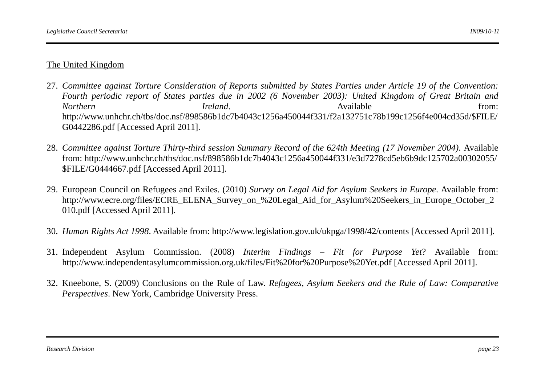### The United Kingdom

- 27. *Committee against Torture Consideration of Reports submitted by States Parties under Article 19 of the Convention: Fourth periodic report of States parties due in 2002 (6 November 2003): United Kingdom of Great Britain and Northern* **Ireland**. The *Ireland* **Ireland Ireland Ireland Ireland Ireland Ireland Ireland** *Reland* **I** http://www.unhchr.ch/tbs/doc.nsf/898586b1dc7b4043c1256a450044f331/f2a132751c78b199c1256f4e004cd35d/\$FILE/ G0442286.pdf [Accessed April 2011].
- 28. *Committee against Torture Thirty-third session Summary Record of the 624th Meeting (17 November 2004)*. Available from: http://www.unhchr.ch/tbs/doc.nsf/898586b1dc7b4043c1256a450044f331/e3d7278cd5eb6b9dc125702a00302055/ \$FILE/G0444667.pdf [Accessed April 2011].
- 29. European Council on Refugees and Exiles. (2010) *Survey on Legal Aid for Asylum Seekers in Europe*. Available from: http://www.ecre.org/files/ECRE\_ELENA\_Survey\_on\_%20Legal\_Aid\_for\_Asylum%20Seekers\_in\_Europe\_October\_2 010.pdf [Accessed April 2011].
- 30. *Human Rights Act 1998*. Available from: http://www.legislation.gov.uk/ukpga/1998/42/contents [Accessed April 2011].
- 31. Independent Asylum Commission. (2008) *Interim Findings Fit for Purpose Yet*? Available from: http://www.independentasylumcommission.org.uk/files/Fit%20for%20Purpose%20Yet.pdf [Accessed April 2011].
- 32. Kneebone, S. (2009) Conclusions on the Rule of Law. *Refugees, Asylum Seekers and the Rule of Law: Comparative Perspectives*. New York, Cambridge University Press.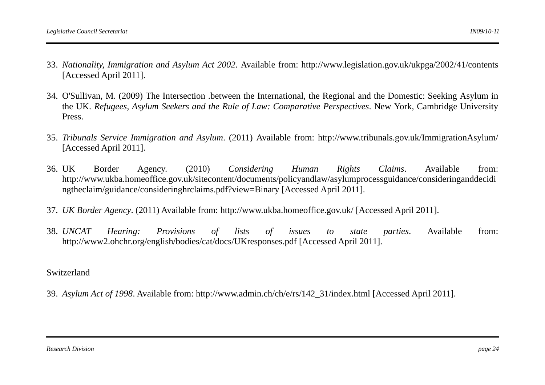- 33. *Nationality, Immigration and Asylum Act 2002*. Available from: http://www.legislation.gov.uk/ukpga/2002/41/contents [Accessed April 2011].
- 34. O'Sullivan, M. (2009) The Intersection .between the International, the Regional and the Domestic: Seeking Asylum in the UK. *Refugees, Asylum Seekers and the Rule of Law: Comparative Perspectives*. New York, Cambridge University Press.
- 35. *Tribunals Service Immigration and Asylum*. (2011) Available from: http://www.tribunals.gov.uk/ImmigrationAsylum/ [Accessed April 2011].
- 36. UK Border Agency. (2010) *Considering Human Rights Claims*. Available from: http://www.ukba.homeoffice.gov.uk/sitecontent/documents/policyandlaw/asylumprocessguidance/consideringanddecidi ngtheclaim/guidance/consideringhrclaims.pdf?view=Binary [Accessed April 2011].
- 37. *UK Border Agency*. (2011) Available from: http://www.ukba.homeoffice.gov.uk/ [Accessed April 2011].
- 38. *UNCAT UNCAT Hearing: Provisions of lists of issues to state parties*. Available from: http://www2.ohchr.org/english/bodies/cat/docs/UKresponses.pdf [Accessed April 2011].

#### Switzerland

39. *Asylum Act of 1998*. Available from: http://www.admin.ch/ch/e/rs/142\_31/index.html [Accessed April 2011].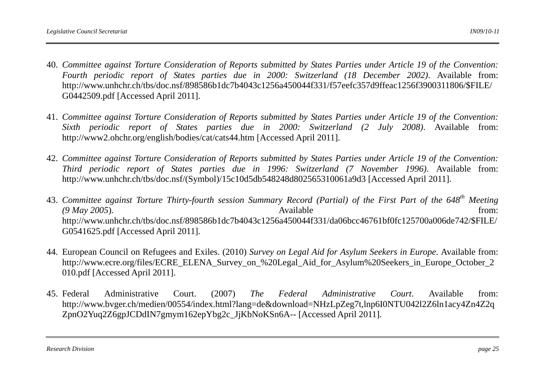- 40. *Committee against Torture Consideration of Reports submitted by States Parties under Article 19 of the Convention: Fourth periodic report of States parties due in 2000: Switzerland (18 December 2002)*. Available from: http://www.unhchr.ch/tbs/doc.nsf/898586b1dc7b4043c1256a450044f331/f57eefc357d9ffeac1256f3900311806/\$FILE/ G0442509.pdf [Accessed April 2011].
- 41. *Committee against Torture Consideration of Reports submitted by States Parties under Article 19 of the Convention: Sixth periodic report of States parties due in 2000: Switzerland (2 July 2008)*. Available from: http://www2.ohchr.org/english/bodies/cat/cats44.htm [Accessed April 2011].
- 42. *Committee against Torture Consideration of Reports submitted by States Parties under Article 19 of the Convention: Third periodic report of States parties due in 1996: Switzerland (7 November 1996)*. Available from: http://www.unhchr.ch/tbs/doc.nsf/(Symbol)/15c10d5db548248d802565310061a9d3 [Accessed April 2011].
- 43. *Committee against Torture Thirty-fourth session Summary Record (Partial) of the First Part of the 648th Meeting*  (9 May 2005). **Available** from: http://www.unhchr.ch/tbs/doc.nsf/898586b1dc7b4043c1256a450044f331/da06bcc46761bf0fc125700a006de742/\$FILE/ G0541625.pdf [Accessed April 2011].
- 44. European Council on Refugees and Exiles. (2010) *Survey on Legal Aid for Asylum Seekers in Europe*. Available from: http://www.ecre.org/files/ECRE\_ELENA\_Survey\_on\_%20Legal\_Aid\_for\_Asylum%20Seekers\_in\_Europe\_October\_2 010.pdf [Accessed April 2011].
- 45. Federal Federal Administrative Court. (2007) *The Federal Administrative Court*. Available from: http://www.bvger.ch/medien/00554/index.html?lang=de&download=NHzLpZeg7t,lnp6I0NTU042l2Z6ln1acy4Zn4Z2q ZpnO2Yuq2Z6gpJCDdIN7gmym162epYbg2c\_JjKbNoKSn6A-- [Accessed April 2011].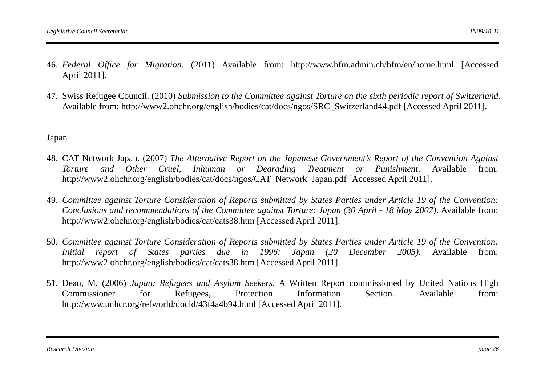- 46. *Federal Office for Migration*. (2011) Available from: http://www.bfm.admin.ch/bfm/en/home.html [Accessed April 2011].
- 47. Swiss Refugee Council. (2010) *Submission to the Committee against Torture on the sixth periodic report of Switzerland*. Available from: http://www2.ohchr.org/english/bodies/cat/docs/ngos/SRC\_Switzerland44.pdf [Accessed April 2011].

#### Japan

- 48. CAT Network Japan. (2007) *The Alternative Report on the Japanese Government's Report of the Convention Against Torture and Other Cruel, Inhuman or Degrading Treatment or Punishment*. Available from: http://www2.ohchr.org/english/bodies/cat/docs/ngos/CAT\_Network\_Japan.pdf [Accessed April 2011].
- 49. *Committee against Torture Consideration of Reports submitted by States Parties under Article 19 of the Convention: Conclusions and recommendations of the Committee against Torture: Japan (30 April - 18 May 2007)*. Available from: http://www2.ohchr.org/english/bodies/cat/cats38.htm [Accessed April 2011].
- 50. *Committee against Torture Consideration of Reports submitted by States Parties under Article 19 of the Convention: Initial report of States parties due in 1996: Japan (20 December 2005)*. Available from: http://www2.ohchr.org/english/bodies/cat/cats38.htm [Accessed April 2011].
- 51. Dean, M. (2006) *Japan: Refugees and Asylum Seekers*. A Written Report commissioned by United Nations High Commissioner for Refugees, Protection Information Section. Available from: http://www.unhcr.org/refworld/docid/43f4a4b94.html [Accessed April 2011].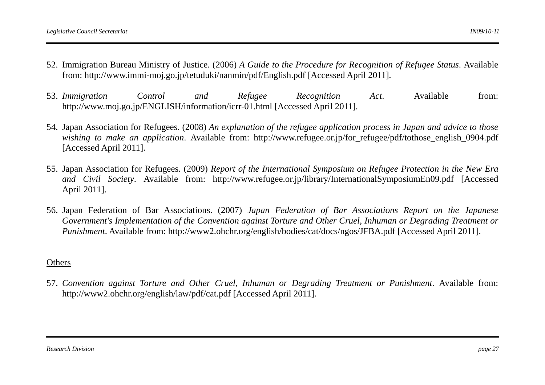- 52. Immigration Bureau Ministry of Justice. (2006) *A Guide to the Procedure for Recognition of Refugee Status*. Available from: http://www.immi-moj.go.jp/tetuduki/nanmin/pdf/English.pdf [Accessed April 2011].
- 53. *Immigration Control and Refugee Recognition Act*. Available from: http://www.moj.go.jp/ENGLISH/information/icrr-01.html [Accessed April 2011].
- 54. Japan Association for Refugees. (2008) *An explanation of the refugee application process in Japan and advice to those wishing to make an application.* Available from: http://www.refugee.or.jp/for refugee/pdf/tothose english 0904.pdf [Accessed April 2011].
- 55. Japan Association for Refugees. (2009) *Report of the International Symposium on Refugee Protection in the New Era and Civil Society*. Available from: http://www.refugee.or.jp/library/InternationalSymposiumEn09.pdf [Accessed April 2011].
- 56. Japan Federation of Bar Associations. (2007) *Japan Federation of Bar Associations Report on the Japanese Government's Implementation of the Convention against Torture and Other Cruel, Inhuman or Degrading Treatment or Punishment*. Available from: http://www2.ohchr.org/english/bodies/cat/docs/ngos/JFBA.pdf [Accessed April 2011].

### Others

57. *Convention against Torture and Other Cruel, Inhuman or Degrading Treatment or Punishment*. Available from: http://www2.ohchr.org/english/law/pdf/cat.pdf [Accessed April 2011].